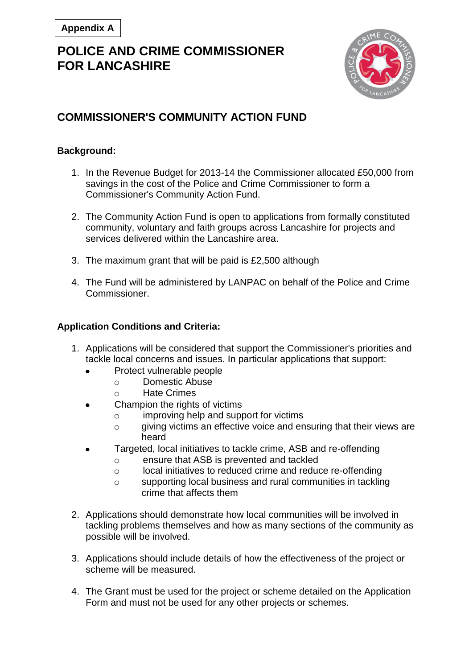# **POLICE AND CRIME COMMISSIONER FOR LANCASHIRE**



### **COMMISSIONER'S COMMUNITY ACTION FUND**

#### **Background:**

- 1. In the Revenue Budget for 2013-14 the Commissioner allocated £50,000 from savings in the cost of the Police and Crime Commissioner to form a Commissioner's Community Action Fund.
- 2. The Community Action Fund is open to applications from formally constituted community, voluntary and faith groups across Lancashire for projects and services delivered within the Lancashire area.
- 3. The maximum grant that will be paid is £2,500 although
- 4. The Fund will be administered by LANPAC on behalf of the Police and Crime Commissioner.

### **Application Conditions and Criteria:**

- 1. Applications will be considered that support the Commissioner's priorities and tackle local concerns and issues. In particular applications that support:
	- Protect vulnerable people
		- o Domestic Abuse
		- o Hate Crimes
	- Champion the rights of victims
		- o improving help and support for victims
		- o giving victims an effective voice and ensuring that their views are heard
	- Targeted, local initiatives to tackle crime, ASB and re-offending
		- o ensure that ASB is prevented and tackled
		- o local initiatives to reduced crime and reduce re-offending
		- o supporting local business and rural communities in tackling crime that affects them
- 2. Applications should demonstrate how local communities will be involved in tackling problems themselves and how as many sections of the community as possible will be involved.
- 3. Applications should include details of how the effectiveness of the project or scheme will be measured.
- 4. The Grant must be used for the project or scheme detailed on the Application Form and must not be used for any other projects or schemes.